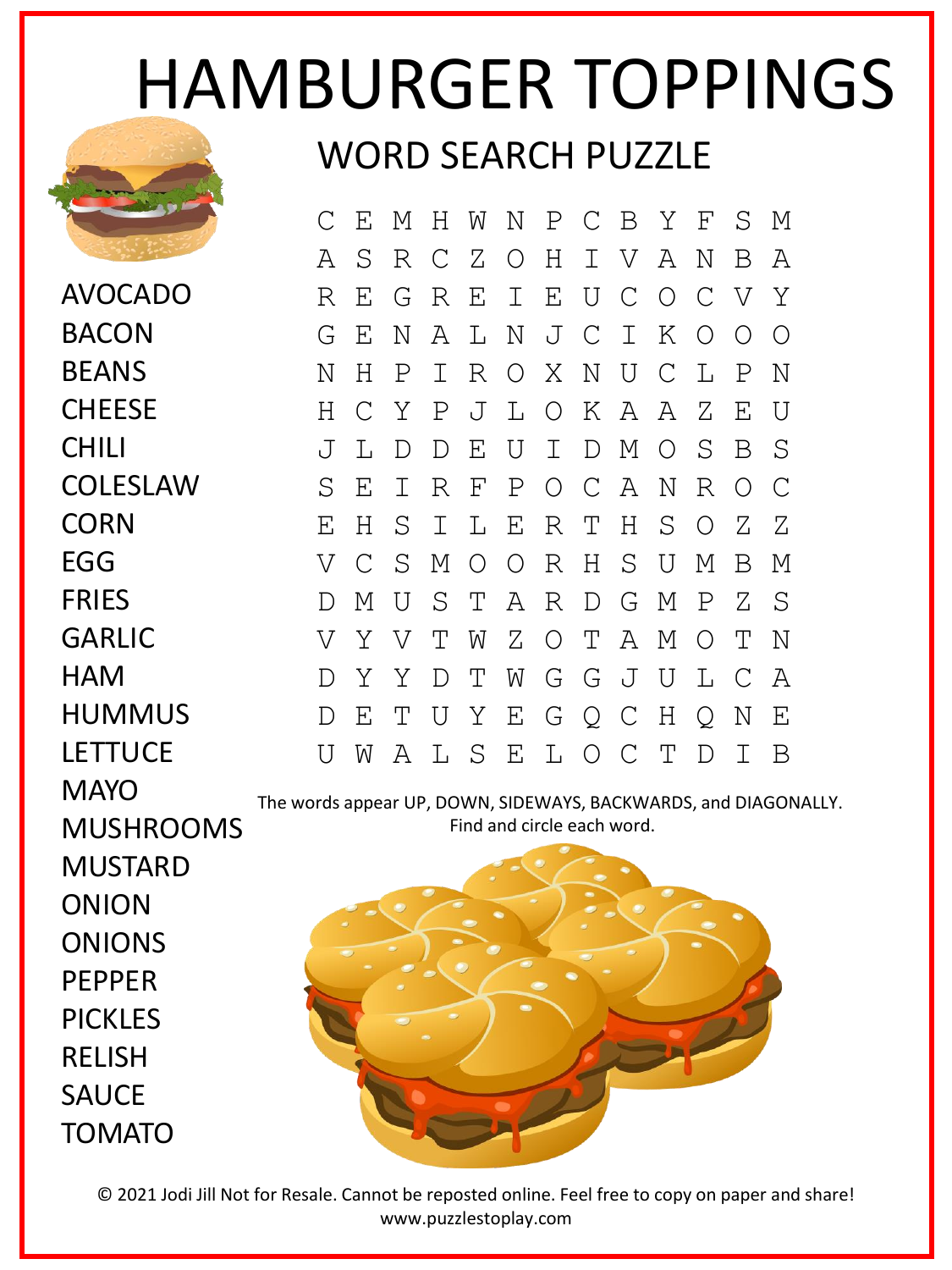## HAMBURGER TOPPINGS WORD SEARCH PUZZLE



AVOCADO BACON BEANS **CHEESE** CHILI **COLESLAW CORN** EGG FRIES GARLIC **HAM** HUMMUS LETTUCE **MAYO** 

C E M H W N P C B Y F S M A S R C Z O H I V A N B A R E G R E I E U C O C V Y G E N A L N J C I K O O O N H P I R O X N U C L P N H C Y P J L O K A A Z E U J L D D E U I D M O S B S S E I R F P O C A N R O C E H S I L E R T H S O Z Z V C S M O O R H S U M B M D M U S T A R D G M P Z S V Y V T W Z O T A M O T N D Y Y D T W G G J U L C A D E T U Y E G Q C H Q N E U W A L S E L O C T D I B

The words appear UP, DOWN, SIDEWAYS, BACKWARDS, and DIAGONALLY. Find and circle each word.

MUSHROOMS MUSTARD ONION ONIONS PEPPER PICKLES RELISH **SAUCF** TOMATO



© 2021 Jodi Jill Not for Resale. Cannot be reposted online. Feel free to copy on paper and share! www.puzzlestoplay.com